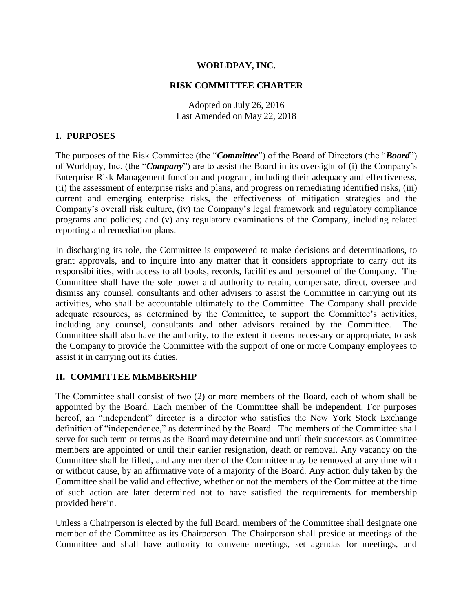## **WORLDPAY, INC.**

#### **RISK COMMITTEE CHARTER**

Adopted on July 26, 2016 Last Amended on May 22, 2018

### **I. PURPOSES**

The purposes of the Risk Committee (the "*Committee*") of the Board of Directors (the "*Board*") of Worldpay, Inc. (the "*Company*") are to assist the Board in its oversight of (i) the Company's Enterprise Risk Management function and program, including their adequacy and effectiveness, (ii) the assessment of enterprise risks and plans, and progress on remediating identified risks, (iii) current and emerging enterprise risks, the effectiveness of mitigation strategies and the Company's overall risk culture, (iv) the Company's legal framework and regulatory compliance programs and policies; and (v) any regulatory examinations of the Company, including related reporting and remediation plans.

In discharging its role, the Committee is empowered to make decisions and determinations, to grant approvals, and to inquire into any matter that it considers appropriate to carry out its responsibilities, with access to all books, records, facilities and personnel of the Company. The Committee shall have the sole power and authority to retain, compensate, direct, oversee and dismiss any counsel, consultants and other advisers to assist the Committee in carrying out its activities, who shall be accountable ultimately to the Committee. The Company shall provide adequate resources, as determined by the Committee, to support the Committee's activities, including any counsel, consultants and other advisors retained by the Committee. The Committee shall also have the authority, to the extent it deems necessary or appropriate, to ask the Company to provide the Committee with the support of one or more Company employees to assist it in carrying out its duties.

### **II. COMMITTEE MEMBERSHIP**

The Committee shall consist of two (2) or more members of the Board, each of whom shall be appointed by the Board. Each member of the Committee shall be independent. For purposes hereof, an "independent" director is a director who satisfies the New York Stock Exchange definition of "independence," as determined by the Board. The members of the Committee shall serve for such term or terms as the Board may determine and until their successors as Committee members are appointed or until their earlier resignation, death or removal. Any vacancy on the Committee shall be filled, and any member of the Committee may be removed at any time with or without cause, by an affirmative vote of a majority of the Board. Any action duly taken by the Committee shall be valid and effective, whether or not the members of the Committee at the time of such action are later determined not to have satisfied the requirements for membership provided herein.

Unless a Chairperson is elected by the full Board, members of the Committee shall designate one member of the Committee as its Chairperson. The Chairperson shall preside at meetings of the Committee and shall have authority to convene meetings, set agendas for meetings, and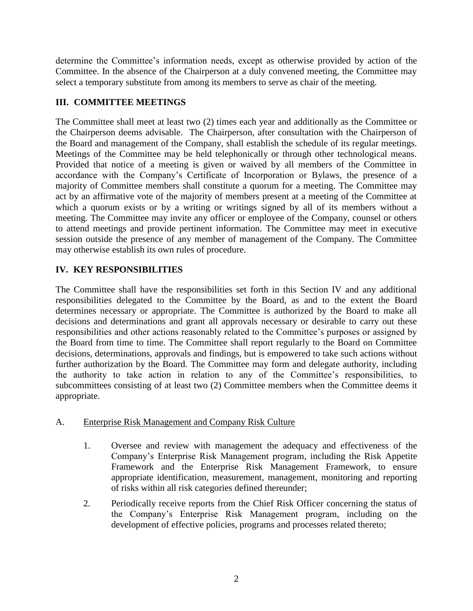determine the Committee's information needs, except as otherwise provided by action of the Committee. In the absence of the Chairperson at a duly convened meeting, the Committee may select a temporary substitute from among its members to serve as chair of the meeting.

# **III. COMMITTEE MEETINGS**

The Committee shall meet at least two (2) times each year and additionally as the Committee or the Chairperson deems advisable. The Chairperson, after consultation with the Chairperson of the Board and management of the Company, shall establish the schedule of its regular meetings. Meetings of the Committee may be held telephonically or through other technological means. Provided that notice of a meeting is given or waived by all members of the Committee in accordance with the Company's Certificate of Incorporation or Bylaws, the presence of a majority of Committee members shall constitute a quorum for a meeting. The Committee may act by an affirmative vote of the majority of members present at a meeting of the Committee at which a quorum exists or by a writing or writings signed by all of its members without a meeting. The Committee may invite any officer or employee of the Company, counsel or others to attend meetings and provide pertinent information. The Committee may meet in executive session outside the presence of any member of management of the Company. The Committee may otherwise establish its own rules of procedure.

# **IV. KEY RESPONSIBILITIES**

The Committee shall have the responsibilities set forth in this Section IV and any additional responsibilities delegated to the Committee by the Board, as and to the extent the Board determines necessary or appropriate. The Committee is authorized by the Board to make all decisions and determinations and grant all approvals necessary or desirable to carry out these responsibilities and other actions reasonably related to the Committee's purposes or assigned by the Board from time to time. The Committee shall report regularly to the Board on Committee decisions, determinations, approvals and findings, but is empowered to take such actions without further authorization by the Board. The Committee may form and delegate authority, including the authority to take action in relation to any of the Committee's responsibilities, to subcommittees consisting of at least two (2) Committee members when the Committee deems it appropriate.

## A. Enterprise Risk Management and Company Risk Culture

- 1. Oversee and review with management the adequacy and effectiveness of the Company's Enterprise Risk Management program, including the Risk Appetite Framework and the Enterprise Risk Management Framework, to ensure appropriate identification, measurement, management, monitoring and reporting of risks within all risk categories defined thereunder;
- 2. Periodically receive reports from the Chief Risk Officer concerning the status of the Company's Enterprise Risk Management program, including on the development of effective policies, programs and processes related thereto;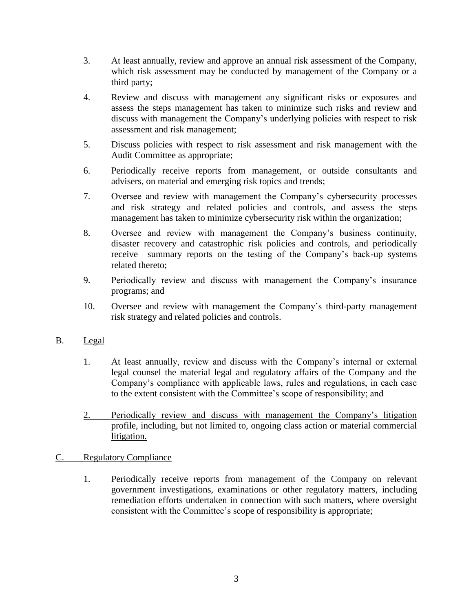- 3. At least annually, review and approve an annual risk assessment of the Company, which risk assessment may be conducted by management of the Company or a third party;
- 4. Review and discuss with management any significant risks or exposures and assess the steps management has taken to minimize such risks and review and discuss with management the Company's underlying policies with respect to risk assessment and risk management;
- 5. Discuss policies with respect to risk assessment and risk management with the Audit Committee as appropriate;
- 6. Periodically receive reports from management, or outside consultants and advisers, on material and emerging risk topics and trends;
- 7. Oversee and review with management the Company's cybersecurity processes and risk strategy and related policies and controls, and assess the steps management has taken to minimize cybersecurity risk within the organization;
- 8. Oversee and review with management the Company's business continuity, disaster recovery and catastrophic risk policies and controls, and periodically receive summary reports on the testing of the Company's back-up systems related thereto;
- 9. Periodically review and discuss with management the Company's insurance programs; and
- 10. Oversee and review with management the Company's third-party management risk strategy and related policies and controls.
- B. Legal
	- 1. At least annually, review and discuss with the Company's internal or external legal counsel the material legal and regulatory affairs of the Company and the Company's compliance with applicable laws, rules and regulations, in each case to the extent consistent with the Committee's scope of responsibility; and
	- 2. Periodically review and discuss with management the Company's litigation profile, including, but not limited to, ongoing class action or material commercial litigation.

## C. Regulatory Compliance

1. Periodically receive reports from management of the Company on relevant government investigations, examinations or other regulatory matters, including remediation efforts undertaken in connection with such matters, where oversight consistent with the Committee's scope of responsibility is appropriate;